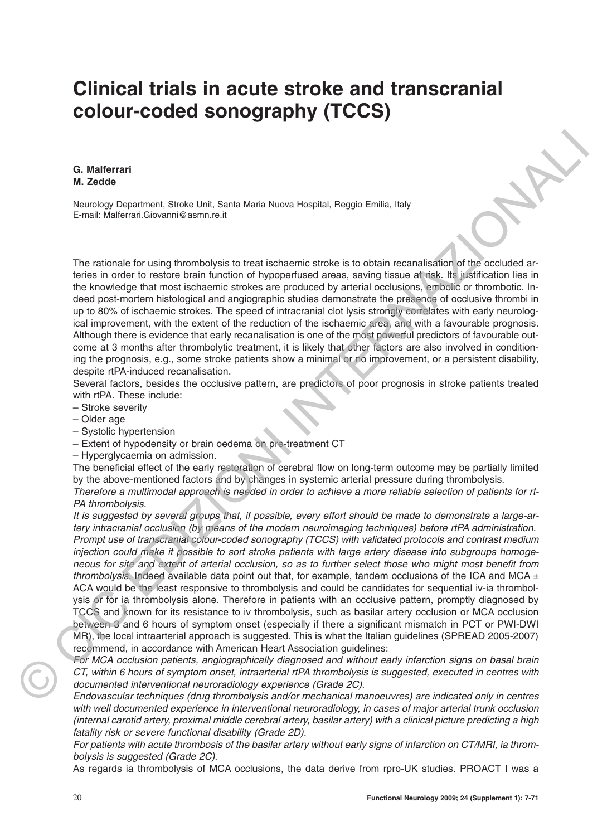## **Clinical trials in acute stroke and transcranial colour-coded sonography (TCCS)**

**G. Malferrari M. Zedde**

Neurology Department, Stroke Unit, Santa Maria Nuova Hospital, Reggio Emilia, Italy E-mail: Malferrari.Giovanni@asmn.re.it

The rationale for using thrombolysis to treat ischaemic stroke is to obtain recanalisation of the occluded arteries in order to restore brain function of hypoperfused areas, saving tissue at risk. Its justification lies in the knowledge that most ischaemic strokes are produced by arterial occlusions, embolic or thrombotic. Indeed post-mortem histological and angiographic studies demonstrate the presence of occlusive thrombi in up to 80% of ischaemic strokes. The speed of intracranial clot lysis strongly correlates with early neurological improvement, with the extent of the reduction of the ischaemic area, and with a favourable prognosis. Although there is evidence that early recanalisation is one of the most powerful predictors of favourable outcome at 3 months after thrombolytic treatment, it is likely that other factors are also involved in conditioning the prognosis, e.g., some stroke patients show a minimal or no improvement, or a persistent disability, despite rtPA-induced recanalisation.

Several factors, besides the occlusive pattern, are predictors of poor prognosis in stroke patients treated with rtPA. These include:

- Stroke severity
- Older age
- Systolic hypertension
- Extent of hypodensity or brain oedema on pre-treatment CT
- Hyperglycaemia on admission.

The beneficial effect of the early restoration of cerebral flow on long-term outcome may be partially limited by the above-mentioned factors and by changes in systemic arterial pressure during thrombolysis.

Therefore a multimodal approach is needed in order to achieve a more reliable selection of patients for rt-PA thrombolysis.

It is suggested by several groups that, if possible, every effort should be made to demonstrate a large-artery intracranial occlusion (by means of the modern neuroimaging techniques) before rtPA administration. Prompt use of transcranial colour-coded sonography (TCCS) with validated protocols and contrast medium injection could make it possible to sort stroke patients with large artery disease into subgroups homogeneous for site and extent of arterial occlusion, so as to further select those who might most benefit from thrombolysis. Indeed available data point out that, for example, tandem occlusions of the ICA and MCA  $\pm$ ACA would be the least responsive to thrombolysis and could be candidates for sequential iv-ia thrombolysis or for ia thrombolysis alone. Therefore in patients with an occlusive pattern, promptly diagnosed by TCCS and known for its resistance to iv thrombolysis, such as basilar artery occlusion or MCA occlusion between 3 and 6 hours of symptom onset (especially if there a significant mismatch in PCT or PWI-DWI MR), the local intraarterial approach is suggested. This is what the Italian guidelines (SPREAD 2005-2007) recommend, in accordance with American Heart Association guidelines: **G. Malforrant interaction**<br> **M. Zedec**<br>
Neurology Department Strain Line Schnickleria Nuova Hospital, Reggio Finitis, Italy<br>
E-mail: Mellevirol.Clockerin Pelleviroletis to both includes into the projection is the propert

For MCA occlusion patients, angiographically diagnosed and without early infarction signs on basal brain CT, within 6 hours of symptom onset, intraarterial rtPA thrombolysis is suggested, executed in centres with documented interventional neuroradiology experience (Grade 2C).

Endovascular techniques (drug thrombolysis and/or mechanical manoeuvres) are indicated only in centres with well documented experience in interventional neuroradiology, in cases of major arterial trunk occlusion (internal carotid artery, proximal middle cerebral artery, basilar artery) with a clinical picture predicting a high fatality risk or severe functional disability (Grade 2D).

For patients with acute thrombosis of the basilar artery without early signs of infarction on CT/MRI, ia thrombolysis is suggested (Grade 2C).

As regards ia thrombolysis of MCA occlusions, the data derive from rpro-UK studies. PROACT I was a